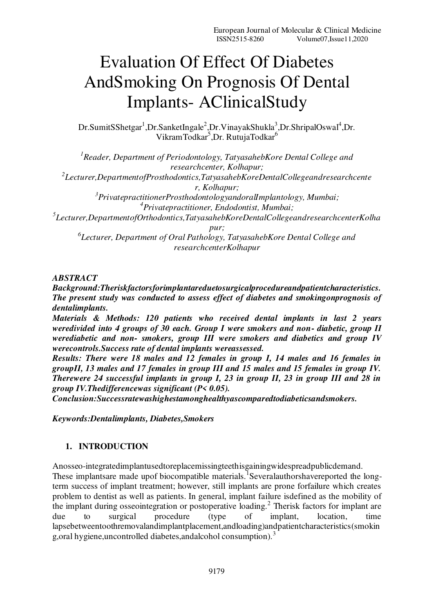# Evaluation Of Effect Of Diabetes AndSmoking On Prognosis Of Dental Implants- AClinicalStudy

Dr.SumitSShetgar<sup>1</sup>,Dr.SanketIngale<sup>2</sup>,Dr.VinayakShukla<sup>3</sup>,Dr.ShripalOswal<sup>4</sup>,Dr. VikramTodkar<sup>5</sup>,Dr. RutujaTodkar<sup>6</sup>

*<sup>1</sup>Reader, Department of Periodontology, TatyasahebKore Dental College and researchcenter, Kolhapur; 2 Lecturer,DepartmentofProsthodontics,TatyasahebKoreDentalCollegeandresearchcente r, Kolhapur; <sup>3</sup>PrivatepractitionerProsthodontologyandoralImplantology, Mumbai; <sup>4</sup>Privatepractitioner, Endodontist, Mumbai; 5 Lecturer,DepartmentofOrthodontics,TatyasahebKoreDentalCollegeandresearchcenterKolha pur; 6 Lecturer, Department of Oral Pathology, TatyasahebKore Dental College and researchcenterKolhapur* 

# *ABSTRACT*

*Background:Theriskfactorsforimplantareduetosurgicalprocedureandpatientcharacteristics. The present study was conducted to assess effect of diabetes and smokingonprognosis of dentalimplants.* 

*Materials & Methods: 120 patients who received dental implants in last 2 years weredivided into 4 groups of 30 each. Group I were smokers and non- diabetic, group II werediabetic and non- smokers, group III were smokers and diabetics and group IV werecontrols.Success rate of dental implants wereassessed.*

*Results: There were 18 males and 12 females in group I, 14 males and 16 females in groupII, 13 males and 17 females in group III and 15 males and 15 females in group IV. Therewere 24 successful implants in group I, 23 in group II, 23 in group III and 28 in group IV.Thedifferencewas significant (P< 0.05).* 

*Conclusion:Successratewashighestamonghealthyascomparedtodiabeticsandsmokers.* 

*Keywords:Dentalimplants, Diabetes,Smokers* 

# **1. INTRODUCTION**

Anosseo-integratedimplantusedtoreplacemissingteethisgainingwidespreadpublicdemand. These implantsare made upof biocompatible materials. Severalauthorshavereported the longterm success of implant treatment; however, still implants are prone forfailure which creates problem to dentist as well as patients. In general, implant failure isdefined as the mobility of the implant during osseointegration or postoperative loading.<sup>2</sup> Therisk factors for implant are due to surgical procedure (type of implant, location, time lapsebetweentoothremovalandimplantplacement,andloading)andpatientcharacteristics(smokin g,oral hygiene, uncontrolled diabetes, and alcohol consumption).<sup>3</sup>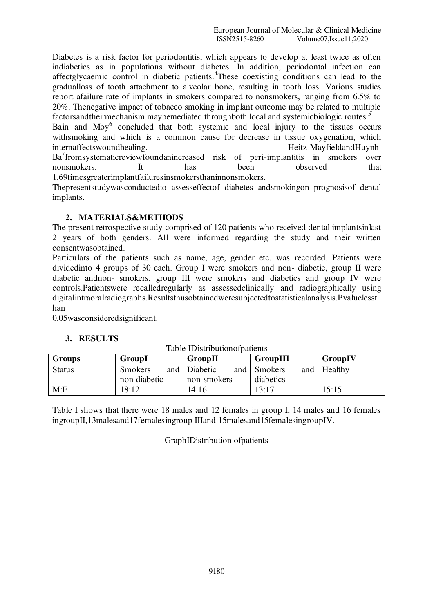Diabetes is a risk factor for periodontitis, which appears to develop at least twice as often indiabetics as in populations without diabetes. In addition, periodontal infection can affectglycaemic control in diabetic patients.<sup>4</sup>These coexisting conditions can lead to the gradualloss of tooth attachment to alveolar bone, resulting in tooth loss. Various studies report afailure rate of implants in smokers compared to nonsmokers, ranging from 6.5% to 20%. Thenegative impact of tobacco smoking in implant outcome may be related to multiple factorsandtheirmechanism maybemediated throughboth local and systemicbiologic routes.<sup>5</sup>

Bain and Moy<sup>6</sup> concluded that both systemic and local injury to the tissues occurs withsmoking and which is a common cause for decrease in tissue oxygenation, which internaffectswoundhealing. Heitz-MayfieldandHuynh-Ba<sup>7</sup> fromsystematicreviewfoundanincreased risk of peri-implantitis in smokers over nonsmokers. It has been observed that 1.69timesgreaterimplantfailuresinsmokersthaninnonsmokers.

Thepresentstudywasconductedto assesseffectof diabetes andsmokingon prognosisof dental implants.

## **2. MATERIALS&METHODS**

The present retrospective study comprised of 120 patients who received dental implantsinlast 2 years of both genders. All were informed regarding the study and their written consentwasobtained.

Particulars of the patients such as name, age, gender etc. was recorded. Patients were dividedinto 4 groups of 30 each. Group I were smokers and non- diabetic, group II were diabetic andnon- smokers, group III were smokers and diabetics and group IV were controls.Patientswere recalledregularly as assessedclinically and radiographically using digitalintraoralradiographs.Resultsthusobtainedweresubjectedtostatisticalanalysis.Pvaluelesst han

0.05wasconsideredsignificant.

# **3. RESULTS**

| <b>Groups</b> | GroupI                         | GroupII                              | GroupIII                    | GroupIV |
|---------------|--------------------------------|--------------------------------------|-----------------------------|---------|
| <b>Status</b> | <b>Smokers</b><br>non-diabetic | and   Diabetic<br>and<br>non-smokers | Smokers<br>and<br>diabetics | Healthy |
| M: F          | 8:12                           | 14:16                                | 13:17                       | 15:15   |

Table IDistributionofpatients

Table I shows that there were 18 males and 12 females in group I, 14 males and 16 females ingroupII,13malesand17femalesingroup IIIand 15malesand15femalesingroupIV.

GraphIDistribution ofpatients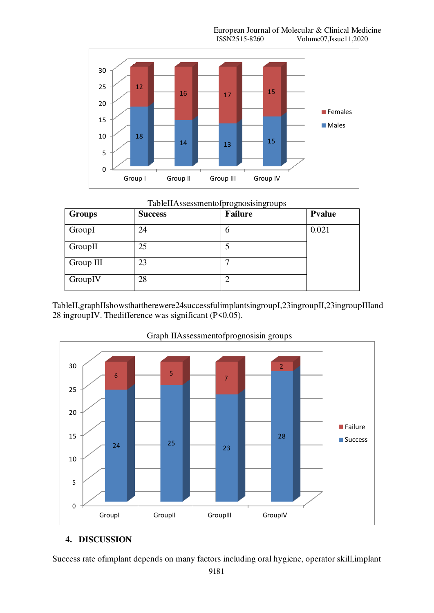European Journal of Molecular & Clinical Medicine<br>ISSN2515-8260 Volume07.Issue11.2020 Volume07,Issue11,2020



#### TableIIAssessmentofprognosisingroups

| <b>Groups</b> | <b>Success</b> | ັ<br>ັ<br><b>Failure</b> | <b>P</b> value |
|---------------|----------------|--------------------------|----------------|
| GroupI        | 24             | O                        | 0.021          |
| GroupII       | 25             |                          |                |
| Group III     | 23             |                          |                |
| GroupIV       | 28             |                          |                |

TableII,graphIIshowsthattherewere24successfulimplantsingroupI,23ingroupII,23ingroupIIIand 28 ingroupIV. Thedifference was significant (P<0.05).



#### Graph IIAssessmentofprognosisin groups

## **4. DISCUSSION**

Success rate ofimplant depends on many factors including oral hygiene, operator skill,implant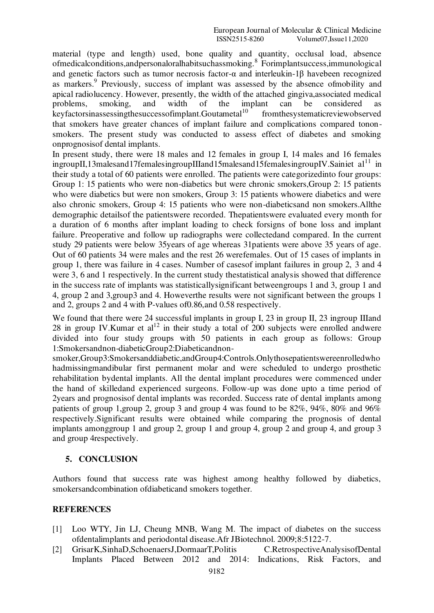material (type and length) used, bone quality and quantity, occlusal load, absence ofmedicalconditions,andpersonaloralhabitsuchassmoking. 8 Forimplantsuccess,immunological and genetic factors such as tumor necrosis factor-α and interleukin-1β havebeen recognized as markers.<sup>9</sup> Previously, success of implant was assessed by the absence ofmobility and apical radiolucency. However, presently, the width of the attached gingiva,associated medical problems, smoking, and width of the implant can be considered as problems, smoking, and width of the implant can be considered as keyfactorsinassessingthesuccessofimplant.Goutametal<sup>10</sup> fromthesystematicreviewobserved that smokers have greater chances of implant failure and complications compared tononsmokers. The present study was conducted to assess effect of diabetes and smoking onprognosisof dental implants.

In present study, there were 18 males and 12 females in group I, 14 males and 16 females  $\text{inputI},13\text{males}$  and 17 femalesing roup III and 15 males and 15 femalesing roup IV. Sain iet al<sup>11</sup> in their study a total of 60 patients were enrolled. The patients were categorizedinto four groups: Group 1: 15 patients who were non-diabetics but were chronic smokers,Group 2: 15 patients who were diabetics but were non smokers, Group 3: 15 patients whowere diabetics and were also chronic smokers, Group 4: 15 patients who were non-diabeticsand non smokers.Allthe demographic detailsof the patientswere recorded. Thepatientswere evaluated every month for a duration of 6 months after implant loading to check forsigns of bone loss and implant failure. Preoperative and follow up radiographs were collectedand compared. In the current study 29 patients were below 35years of age whereas 31patients were above 35 years of age. Out of 60 patients 34 were males and the rest 26 werefemales. Out of 15 cases of implants in group 1, there was failure in 4 cases. Number of casesof implant failures in group 2, 3 and 4 were 3, 6 and 1 respectively. In the current study thestatistical analysis showed that difference in the success rate of implants was statisticallysignificant betweengroups 1 and 3, group 1 and 4, group 2 and 3,group3 and 4. Howeverthe results were not significant between the groups 1 and 2, groups 2 and 4 with P-values of0.86,and 0.58 respectively.

We found that there were 24 successful implants in group I, 23 in group II, 23 ingroup IIIand 28 in group IV.Kumar et  $al^{12}$  in their study a total of 200 subjects were enrolled andwere divided into four study groups with 50 patients in each group as follows: Group 1:Smokersandnon-diabeticGroup2:Diabeticandnon-

smoker,Group3:Smokersanddiabetic,andGroup4:Controls.Onlythosepatientswereenrolledwho hadmissingmandibular first permanent molar and were scheduled to undergo prosthetic rehabilitation bydental implants. All the dental implant procedures were commenced under the hand of skilledand experienced surgeons. Follow-up was done upto a time period of 2years and prognosisof dental implants was recorded. Success rate of dental implants among patients of group 1,group 2, group 3 and group 4 was found to be 82%, 94%, 80% and 96% respectively.Significant results were obtained while comparing the prognosis of dental implants amonggroup 1 and group 2, group 1 and group 4, group 2 and group 4, and group 3 and group 4respectively.

## **5. CONCLUSION**

Authors found that success rate was highest among healthy followed by diabetics, smokersandcombination ofdiabeticand smokers together.

## **REFERENCES**

- [1] Loo WTY, Jin LJ, Cheung MNB, Wang M. The impact of diabetes on the success ofdentalimplants and periodontal disease.Afr JBiotechnol. 2009;8:5122-7.
- [2] GrisarK,SinhaD,SchoenaersJ,DormaarT,Politis C.RetrospectiveAnalysisofDental Implants Placed Between 2012 and 2014: Indications, Risk Factors, and